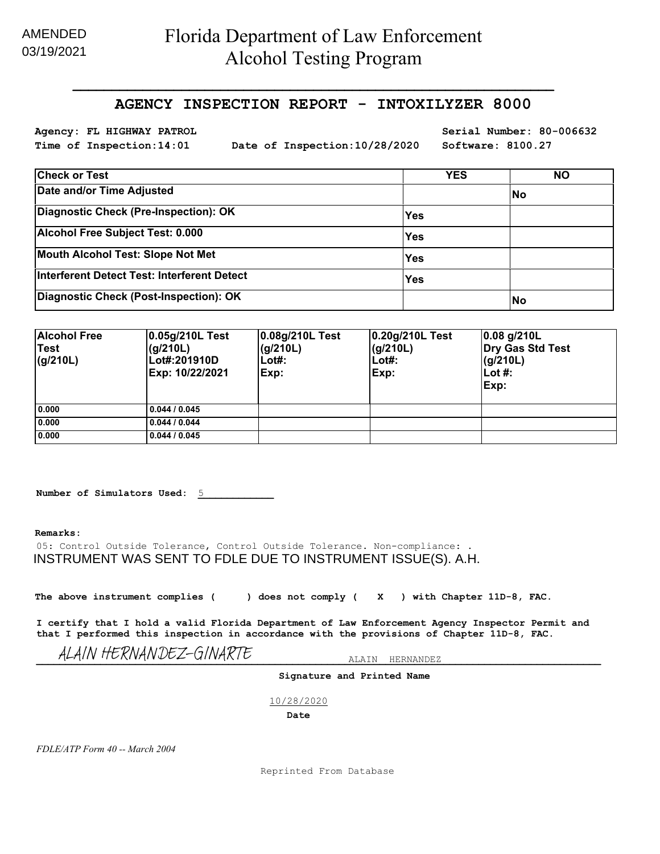## AMENDED 03/19/2021

## **AGENCY INSPECTION REPORT - INTOXILYZER 8000**

**\_\_\_\_\_\_\_\_\_\_\_\_\_\_\_\_\_\_\_\_\_\_\_\_\_\_\_\_\_\_\_\_\_\_\_\_\_\_\_\_\_\_\_\_\_\_\_\_\_\_\_\_\_\_\_\_\_\_\_\_\_\_**

**Time of Inspection:14:01 Date of Inspection:10/28/2020 Software: 8100.27**

**Agency: FL HIGHWAY PATROL Serial Number: 80-006632**

| <b>Check or Test</b>                        | <b>YES</b> | <b>NO</b> |
|---------------------------------------------|------------|-----------|
| Date and/or Time Adjusted                   |            | <b>No</b> |
| Diagnostic Check (Pre-Inspection): OK       | <b>Yes</b> |           |
| Alcohol Free Subject Test: 0.000            | <b>Yes</b> |           |
| Mouth Alcohol Test: Slope Not Met           | <b>Yes</b> |           |
| Interferent Detect Test: Interferent Detect | <b>Yes</b> |           |
| Diagnostic Check (Post-Inspection): OK      |            | <b>No</b> |

| <b>Alcohol Free</b><br>Test<br>$\vert$ (g/210L) | 0.05g/210L Test<br>(q/210L)<br>Lot#:201910D<br>Exp: 10/22/2021 | 0.08g/210L Test<br>(g/210L)<br>Lot#:<br>Exp: | 0.20g/210L Test<br>(g/210L)<br>$Lot#$ :<br> Exp: | 0.08 q/210L<br><b>Dry Gas Std Test</b><br>(g/210L)<br>Lot $#$ :<br>Exp: |
|-------------------------------------------------|----------------------------------------------------------------|----------------------------------------------|--------------------------------------------------|-------------------------------------------------------------------------|
| 0.000                                           | 0.044 / 0.045                                                  |                                              |                                                  |                                                                         |
| 0.000                                           | 0.044 / 0.044                                                  |                                              |                                                  |                                                                         |
| 0.000                                           | 0.044 / 0.045                                                  |                                              |                                                  |                                                                         |

|  | Number of Simulators Used: |  |
|--|----------------------------|--|
|  |                            |  |

#### **Remarks:**

05: Control Outside Tolerance, Control Outside Tolerance. Non-compliance: . INSTRUMENT WAS SENT TO FDLE DUE TO INSTRUMENT ISSUE(S). A.H.

**The above instrument complies ( ) does not comply ( X ) with Chapter 11D-8, FAC.**

**I certify that I hold a valid Florida Department of Law Enforcement Agency Inspector Permit and that I performed this inspection in accordance with the provisions of Chapter 11D-8, FAC.**

**\_\_\_\_\_\_\_\_\_\_\_\_\_\_\_\_\_\_\_\_\_\_\_\_\_\_\_\_\_\_\_\_\_\_\_\_\_\_\_\_\_\_\_\_\_\_\_\_\_\_\_\_\_\_\_\_\_\_\_\_\_\_\_\_\_\_\_\_\_\_\_\_\_\_\_\_\_\_\_\_\_\_\_\_\_\_\_\_\_\_\_\_\_\_\_\_\_** ALAIN HERNANDEZ ALAIN HERNANDEZ-GINARTE

**Signature and Printed Name**

10/28/2020

**Date**

*FDLE/ATP Form 40 -- March 2004*

Reprinted From Database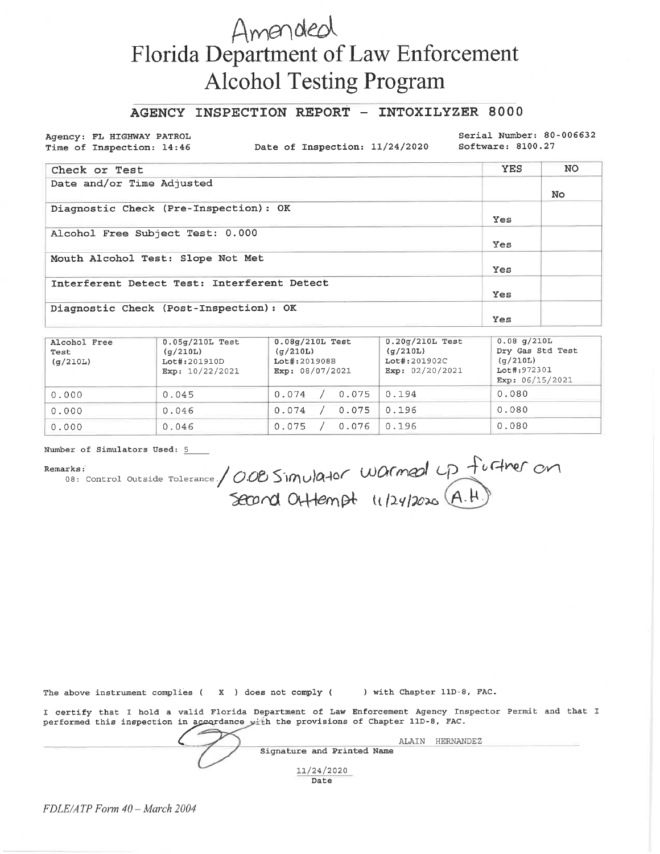# Amended Florida Department of Law Enforcement **Alcohol Testing Program**

### AGENCY INSPECTION REPORT - INTOXILYZER 8000

Agency: FL HIGHWAY PATROL Time of Inspection: 14:46

Date of Inspection: 11/24/2020

Serial Number: 80-006632 Software: 8100.27

| Check or Test                               | <b>YES</b> | NO. |
|---------------------------------------------|------------|-----|
| Date and/or Time Adjusted                   |            | No. |
| Diagnostic Check (Pre-Inspection): OK       | Yes        |     |
| Alcohol Free Subject Test: 0.000            | Yes        |     |
| Mouth Alcohol Test: Slope Not Met           | Yes        |     |
| Interferent Detect Test: Interferent Detect | Yes        |     |
| Diagnostic Check (Post-Inspection): OK      | Yes        |     |

| Alcohol Free<br>Test<br>(q/210L) | $0.05g/210L$ Test<br>(q/210L)<br>$Lot\#:201910D$<br>Exp: $10/22/2021$ | $0.08q/210L$ Test<br>(q/210L)<br>Lot#:201908B<br>Exp: 08/07/2021 | $0.20q/210L$ Test<br>(q/210L)<br>Lot#:201902C<br>Exp: $02/20/2021$ | $0.08$ q/210L<br>Dry Gas Std Test<br>(q/210L)<br>Lot#:972301<br>Exp: $06/15/2021$ |
|----------------------------------|-----------------------------------------------------------------------|------------------------------------------------------------------|--------------------------------------------------------------------|-----------------------------------------------------------------------------------|
| 0.000                            | 0.045                                                                 | 0.075<br>0.074                                                   | 0.194                                                              | 0.080                                                                             |
| 0.000                            | 0.046                                                                 | 0.074<br>0.075                                                   | 0.196                                                              | 0.080                                                                             |
| 0.000                            | 0.046                                                                 | 0.076<br>0.075                                                   | 0.196                                                              | 0.080                                                                             |

Number of Simulators Used: 5

#### Remarks:

narks:<br>08: control outside rolerance/ 0.02 Simulator Warmed up further on

The above instrument complies (X) does not comply ( ) with Chapter 11D-8, FAC.

I certify that I hold a valid Florida Department of Law Enforcement Agency Inspector Permit and that I performed this inspection in accordance with the provisions of Chapter 11D-8, FAC.

| ALAIN<br>HERNANDEZ         |  |
|----------------------------|--|
| Signature and Printed Name |  |
| 11/24/2020<br>Date         |  |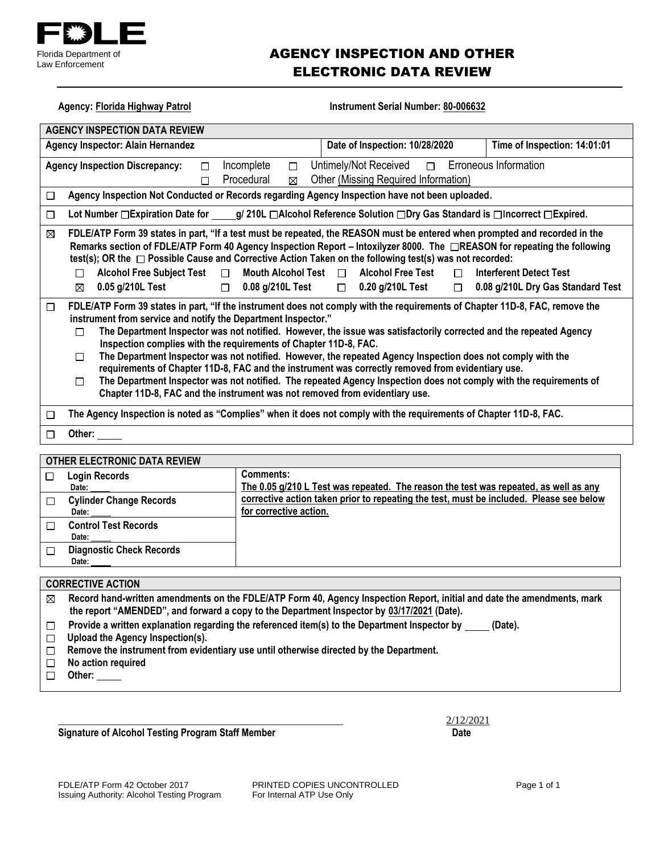

# AGENCY INSPECTION AND OTHER ELECTRONIC DATA REVIEW

| <b>Agency: Florida Highway Patrol</b>                                                                                                                  | Instrument Serial Number: 80-006632                                                                                                                                                                                                                                                                                                                                                                                                                                                                                                                                                                                                                                                                                                                                                                             |                                                                     |  |  |  |
|--------------------------------------------------------------------------------------------------------------------------------------------------------|-----------------------------------------------------------------------------------------------------------------------------------------------------------------------------------------------------------------------------------------------------------------------------------------------------------------------------------------------------------------------------------------------------------------------------------------------------------------------------------------------------------------------------------------------------------------------------------------------------------------------------------------------------------------------------------------------------------------------------------------------------------------------------------------------------------------|---------------------------------------------------------------------|--|--|--|
| <b>AGENCY INSPECTION DATA REVIEW</b>                                                                                                                   |                                                                                                                                                                                                                                                                                                                                                                                                                                                                                                                                                                                                                                                                                                                                                                                                                 |                                                                     |  |  |  |
| <b>Agency Inspector: Alain Hernandez</b>                                                                                                               | Date of Inspection: 10/28/2020                                                                                                                                                                                                                                                                                                                                                                                                                                                                                                                                                                                                                                                                                                                                                                                  | Time of Inspection: 14:01:01                                        |  |  |  |
| <b>Agency Inspection Discrepancy:</b><br>$\Box$<br>$\Box$                                                                                              | Untimely/Not Received<br>Incomplete<br>$\Box$<br>$\Box$<br>Other (Missing Required Information)<br>Procedural<br>⊠                                                                                                                                                                                                                                                                                                                                                                                                                                                                                                                                                                                                                                                                                              | <b>Erroneous Information</b>                                        |  |  |  |
| □                                                                                                                                                      | Agency Inspection Not Conducted or Records regarding Agency Inspection have not been uploaded.                                                                                                                                                                                                                                                                                                                                                                                                                                                                                                                                                                                                                                                                                                                  |                                                                     |  |  |  |
| □                                                                                                                                                      | Lot Number □ Expiration Date for _____g/ 210L □ Alcohol Reference Solution □ Dry Gas Standard is □ Incorrect □ Expired.                                                                                                                                                                                                                                                                                                                                                                                                                                                                                                                                                                                                                                                                                         |                                                                     |  |  |  |
| ⊠<br>Alcohol Free Subject Test $\Box$<br>$\Box$<br>0.05 g/210L Test<br>$\Box$<br>⊠                                                                     | FDLE/ATP Form 39 states in part, "If a test must be repeated, the REASON must be entered when prompted and recorded in the<br>Remarks section of FDLE/ATP Form 40 Agency Inspection Report – Intoxilyzer 8000. The □REASON for repeating the following<br>test(s); OR the □ Possible Cause and Corrective Action Taken on the following test(s) was not recorded:<br>Mouth Alcohol Test $\Box$<br><b>Alcohol Free Test</b><br>$\Box$<br>0.08 g/210L Test<br>$\Box$ 0.20 g/210L Test<br>$\Box$                                                                                                                                                                                                                                                                                                                   | <b>Interferent Detect Test</b><br>0.08 g/210L Dry Gas Standard Test |  |  |  |
| □<br>□<br>п<br>□                                                                                                                                       | FDLE/ATP Form 39 states in part, "If the instrument does not comply with the requirements of Chapter 11D-8, FAC, remove the<br>instrument from service and notify the Department Inspector."<br>The Department Inspector was not notified. However, the issue was satisfactorily corrected and the repeated Agency<br>Inspection complies with the requirements of Chapter 11D-8, FAC.<br>The Department Inspector was not notified. However, the repeated Agency Inspection does not comply with the<br>requirements of Chapter 11D-8, FAC and the instrument was correctly removed from evidentiary use.<br>The Department Inspector was not notified. The repeated Agency Inspection does not comply with the requirements of<br>Chapter 11D-8, FAC and the instrument was not removed from evidentiary use. |                                                                     |  |  |  |
| □                                                                                                                                                      | The Agency Inspection is noted as "Complies" when it does not comply with the requirements of Chapter 11D-8, FAC.                                                                                                                                                                                                                                                                                                                                                                                                                                                                                                                                                                                                                                                                                               |                                                                     |  |  |  |
| Other:<br>$\Box$                                                                                                                                       |                                                                                                                                                                                                                                                                                                                                                                                                                                                                                                                                                                                                                                                                                                                                                                                                                 |                                                                     |  |  |  |
| OTHER ELECTRONIC DATA REVIEW                                                                                                                           |                                                                                                                                                                                                                                                                                                                                                                                                                                                                                                                                                                                                                                                                                                                                                                                                                 |                                                                     |  |  |  |
| <b>Login Records</b><br>□<br>Date:                                                                                                                     | <b>Comments:</b><br>The 0.05 g/210 L Test was repeated. The reason the test was repeated, as well as any                                                                                                                                                                                                                                                                                                                                                                                                                                                                                                                                                                                                                                                                                                        |                                                                     |  |  |  |
| <b>Cylinder Change Records</b><br>□<br>Date:                                                                                                           | corrective action taken prior to repeating the test, must be included. Please see below<br>for corrective action.                                                                                                                                                                                                                                                                                                                                                                                                                                                                                                                                                                                                                                                                                               |                                                                     |  |  |  |
| <b>Control Test Records</b><br>□<br>Date:                                                                                                              |                                                                                                                                                                                                                                                                                                                                                                                                                                                                                                                                                                                                                                                                                                                                                                                                                 |                                                                     |  |  |  |
| <b>Diagnostic Check Records</b><br>$\Box$<br>Date:                                                                                                     |                                                                                                                                                                                                                                                                                                                                                                                                                                                                                                                                                                                                                                                                                                                                                                                                                 |                                                                     |  |  |  |
| <b>CORRECTIVE ACTION</b>                                                                                                                               |                                                                                                                                                                                                                                                                                                                                                                                                                                                                                                                                                                                                                                                                                                                                                                                                                 |                                                                     |  |  |  |
| Record hand-written amendments on the FDLE/ATP Form 40, Agency Inspection Report, initial and date the amendments, mark<br>⊠                           |                                                                                                                                                                                                                                                                                                                                                                                                                                                                                                                                                                                                                                                                                                                                                                                                                 |                                                                     |  |  |  |
| the report "AMENDED", and forward a copy to the Department Inspector by 03/17/2021 (Date).                                                             |                                                                                                                                                                                                                                                                                                                                                                                                                                                                                                                                                                                                                                                                                                                                                                                                                 |                                                                     |  |  |  |
| Provide a written explanation regarding the referenced item(s) to the Department Inspector by<br>(Date).<br>□<br>Upload the Agency Inspection(s).<br>□ |                                                                                                                                                                                                                                                                                                                                                                                                                                                                                                                                                                                                                                                                                                                                                                                                                 |                                                                     |  |  |  |
| □                                                                                                                                                      | Remove the instrument from evidentiary use until otherwise directed by the Department.                                                                                                                                                                                                                                                                                                                                                                                                                                                                                                                                                                                                                                                                                                                          |                                                                     |  |  |  |
| No action required<br>□<br>A <sub>th</sub>                                                                                                             |                                                                                                                                                                                                                                                                                                                                                                                                                                                                                                                                                                                                                                                                                                                                                                                                                 |                                                                     |  |  |  |

 **Other:** 

**Signature of Alcohol Testing Program Staff Member Date Date Date** 

\_\_\_\_\_\_\_\_\_\_\_\_\_\_\_\_\_\_\_\_\_\_\_\_\_\_\_\_\_\_\_\_\_\_\_\_\_\_\_\_\_\_\_\_\_\_\_\_\_\_\_\_\_ 2/12/2021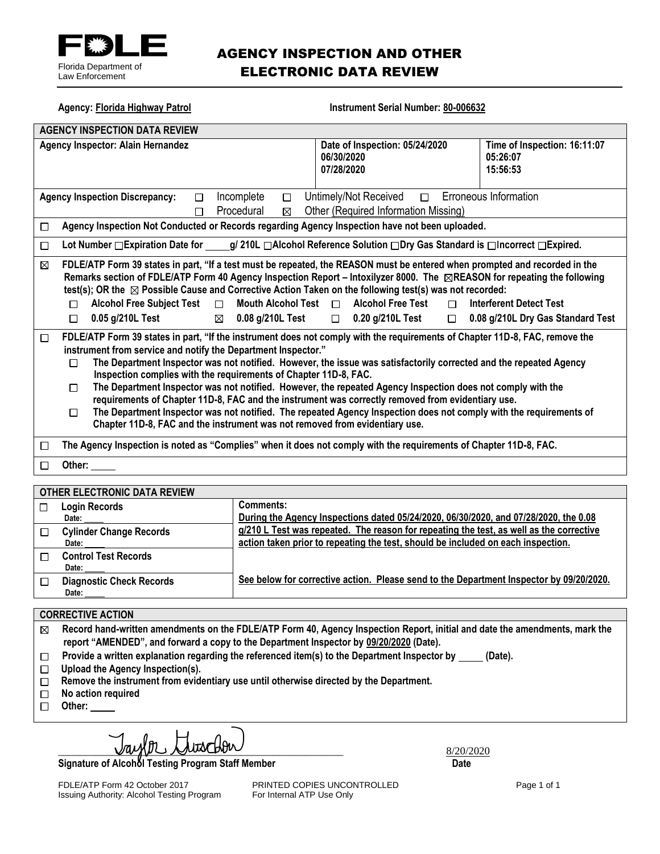

# AGENCY INSPECTION AND OTHER ELECTRONIC DATA REVIEW

| <b>Agency: Florida Highway Patrol</b>                                                                                                                                                                                                                                                                                                                                                                                                                                                                                                                                                                                                                                                                                                                                                                                                         | <b>Instrument Serial Number: 80-006632</b>                              |                                                                     |  |  |
|-----------------------------------------------------------------------------------------------------------------------------------------------------------------------------------------------------------------------------------------------------------------------------------------------------------------------------------------------------------------------------------------------------------------------------------------------------------------------------------------------------------------------------------------------------------------------------------------------------------------------------------------------------------------------------------------------------------------------------------------------------------------------------------------------------------------------------------------------|-------------------------------------------------------------------------|---------------------------------------------------------------------|--|--|
| <b>AGENCY INSPECTION DATA REVIEW</b>                                                                                                                                                                                                                                                                                                                                                                                                                                                                                                                                                                                                                                                                                                                                                                                                          |                                                                         |                                                                     |  |  |
| Agency Inspector: Alain Hernandez                                                                                                                                                                                                                                                                                                                                                                                                                                                                                                                                                                                                                                                                                                                                                                                                             | Date of Inspection: 05/24/2020<br>06/30/2020<br>07/28/2020              | Time of Inspection: 16:11:07<br>05:26:07<br>15:56:53                |  |  |
| Incomplete<br><b>Agency Inspection Discrepancy:</b><br>П<br>$\Box$<br>Procedural<br>⊠<br>П                                                                                                                                                                                                                                                                                                                                                                                                                                                                                                                                                                                                                                                                                                                                                    | Untimely/Not Received<br>$\Box$<br>Other (Required Information Missing) | Erroneous Information                                               |  |  |
| Agency Inspection Not Conducted or Records regarding Agency Inspection have not been uploaded.<br>□                                                                                                                                                                                                                                                                                                                                                                                                                                                                                                                                                                                                                                                                                                                                           |                                                                         |                                                                     |  |  |
| Lot Number □ Expiration Date for _____g/ 210L □ Alcohol Reference Solution □ Dry Gas Standard is □ Incorrect □ Expired.<br>$\Box$                                                                                                                                                                                                                                                                                                                                                                                                                                                                                                                                                                                                                                                                                                             |                                                                         |                                                                     |  |  |
| FDLE/ATP Form 39 states in part, "If a test must be repeated, the REASON must be entered when prompted and recorded in the<br>⊠<br>Remarks section of FDLE/ATP Form 40 Agency Inspection Report – Intoxilyzer 8000. The ⊠REASON for repeating the following<br>test(s); OR the $\boxtimes$ Possible Cause and Corrective Action Taken on the following test(s) was not recorded:<br>Mouth Alcohol Test $\Box$<br><b>Alcohol Free Subject Test</b><br>$\Box$<br>П<br>0.05 g/210L Test<br>$\boxtimes$ 0.08 g/210L Test<br>П                                                                                                                                                                                                                                                                                                                     | <b>Alcohol Free Test</b><br>$\Box$<br>$\Box$ 0.20 g/210L Test<br>$\Box$ | <b>Interferent Detect Test</b><br>0.08 g/210L Dry Gas Standard Test |  |  |
| FDLE/ATP Form 39 states in part, "If the instrument does not comply with the requirements of Chapter 11D-8, FAC, remove the<br>$\Box$<br>instrument from service and notify the Department Inspector."<br>The Department Inspector was not notified. However, the issue was satisfactorily corrected and the repeated Agency<br>П<br>Inspection complies with the requirements of Chapter 11D-8, FAC.<br>The Department Inspector was not notified. However, the repeated Agency Inspection does not comply with the<br>П<br>requirements of Chapter 11D-8, FAC and the instrument was correctly removed from evidentiary use.<br>The Department Inspector was not notified. The repeated Agency Inspection does not comply with the requirements of<br>$\Box$<br>Chapter 11D-8, FAC and the instrument was not removed from evidentiary use. |                                                                         |                                                                     |  |  |
| The Agency Inspection is noted as "Complies" when it does not comply with the requirements of Chapter 11D-8, FAC.<br>□                                                                                                                                                                                                                                                                                                                                                                                                                                                                                                                                                                                                                                                                                                                        |                                                                         |                                                                     |  |  |
| Other:<br>П                                                                                                                                                                                                                                                                                                                                                                                                                                                                                                                                                                                                                                                                                                                                                                                                                                   |                                                                         |                                                                     |  |  |

### **OTHER ELECTRONIC DATA REVIEW**

| <b>Login Records</b>            | Comments:                                                                               |
|---------------------------------|-----------------------------------------------------------------------------------------|
| Date:                           | During the Agency Inspections dated 05/24/2020, 06/30/2020, and 07/28/2020, the 0.08    |
| <b>Cylinder Change Records</b>  | g/210 L Test was repeated. The reason for repeating the test, as well as the corrective |
| Date:                           | action taken prior to repeating the test, should be included on each inspection.        |
| <b>Control Test Records</b>     |                                                                                         |
| Date:                           |                                                                                         |
| <b>Diagnostic Check Records</b> | See below for corrective action. Please send to the Department Inspector by 09/20/2020. |
| Date:                           |                                                                                         |
|                                 |                                                                                         |

#### **CORRECTIVE ACTION**

 $\boxtimes$ **Record hand-written amendments on the FDLE/ATP Form 40, Agency Inspection Report, initial and date the amendments, mark the report "AMENDED", and forward a copy to the Department Inspector by 09/20/2020 (Date).**

- Provide a written explanation regarding the referenced item(s) to the Department Inspector by \_\_\_\_\_ (Date).  $\Box$
- **Upload the Agency Inspection(s).**
- **Remove the instrument from evidentiary use until otherwise directed by the Department.**
- **No action required**  $\Box$
- **Other:**

 $\frac{1}{8/20/2020}$ 

**Signature of Alcohol Testing Program Staff Member Date**